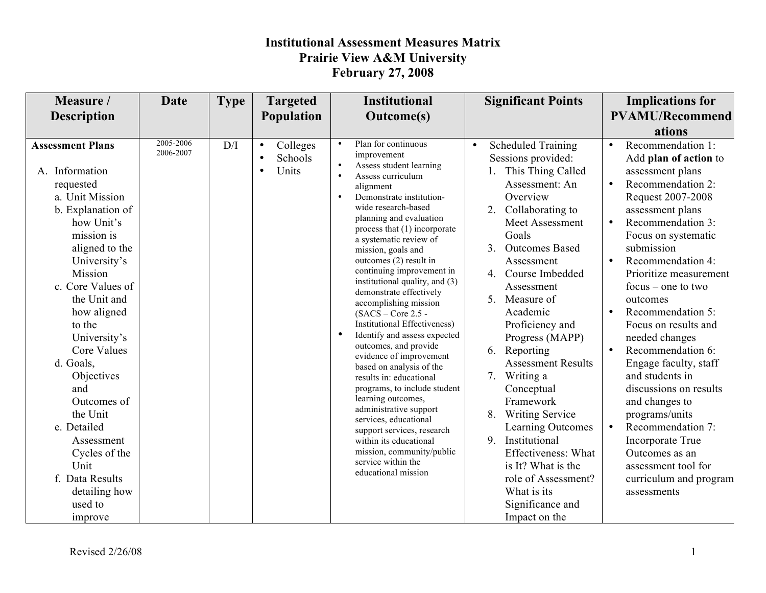| 2005-2006<br>Plan for continuous<br><b>Scheduled Training</b><br><b>Assessment Plans</b><br>D/I<br>$\bullet$<br>Colleges<br>$\bullet$<br>$\bullet$<br>$\bullet$<br>2006-2007<br>improvement<br>Schools<br>Sessions provided:<br>$\bullet$<br>Assess student learning<br>Units<br>A. Information<br>This Thing Called<br>$\bullet$<br>assessment plans<br>$\bullet$<br>Assess curriculum<br>Assessment: An<br>requested<br>$\bullet$<br>alignment<br>a. Unit Mission<br>Overview<br>Demonstrate institution-<br>$\bullet$<br>wide research-based<br>b. Explanation of<br>Collaborating to<br>2.<br>assessment plans<br>planning and evaluation<br>Meet Assessment<br>how Unit's<br>process that (1) incorporate<br>mission is<br>Goals<br>a systematic review of<br>submission<br>aligned to the<br>3 <sub>1</sub><br><b>Outcomes Based</b><br>mission, goals and<br>University's<br>Assessment<br>outcomes (2) result in<br>$\bullet$<br>continuing improvement in<br>Mission<br>Course Imbedded<br>$\overline{4}$<br>institutional quality, and (3)<br>c. Core Values of<br>Assessment<br>demonstrate effectively<br>the Unit and<br>Measure of<br>5.<br>outcomes<br>accomplishing mission<br>Academic<br>how aligned<br>$\bullet$<br>$(SACS - Core 2.5 -$<br><b>Institutional Effectiveness)</b><br>to the<br>Proficiency and<br>Identify and assess expected<br>University's<br>Progress (MAPP)<br>needed changes<br>outcomes, and provide<br><b>Core Values</b><br>Reporting<br>6.<br>evidence of improvement<br>d. Goals,<br><b>Assessment Results</b><br>based on analysis of the<br>and students in<br>Writing a<br>Objectives<br>7.<br>results in: educational<br>programs, to include student<br>Conceptual<br>and<br>learning outcomes,<br>Outcomes of<br>Framework<br>and changes to<br>administrative support<br>the Unit<br><b>Writing Service</b><br>8.<br>programs/units<br>services, educational<br>e. Detailed<br>Learning Outcomes<br>$\bullet$<br>support services, research<br>Institutional<br>9.<br>Assessment<br>Incorporate True<br>within its educational | Measure /<br><b>Description</b> | <b>Date</b> | <b>Type</b> | <b>Targeted</b><br>Population | <b>Institutional</b><br><b>Outcome(s)</b> | <b>Significant Points</b> | <b>Implications for</b><br><b>PVAMU/Recommend</b>                                                                                                                                                                                                                                                                                                                                                                              |
|------------------------------------------------------------------------------------------------------------------------------------------------------------------------------------------------------------------------------------------------------------------------------------------------------------------------------------------------------------------------------------------------------------------------------------------------------------------------------------------------------------------------------------------------------------------------------------------------------------------------------------------------------------------------------------------------------------------------------------------------------------------------------------------------------------------------------------------------------------------------------------------------------------------------------------------------------------------------------------------------------------------------------------------------------------------------------------------------------------------------------------------------------------------------------------------------------------------------------------------------------------------------------------------------------------------------------------------------------------------------------------------------------------------------------------------------------------------------------------------------------------------------------------------------------------------------------------------------------------------------------------------------------------------------------------------------------------------------------------------------------------------------------------------------------------------------------------------------------------------------------------------------------------------------------------------------------------------------------------------------------------------------------------------------------------------------------------|---------------------------------|-------------|-------------|-------------------------------|-------------------------------------------|---------------------------|--------------------------------------------------------------------------------------------------------------------------------------------------------------------------------------------------------------------------------------------------------------------------------------------------------------------------------------------------------------------------------------------------------------------------------|
| service within the<br>Unit<br>is It? What is the<br>educational mission<br>f. Data Results<br>role of Assessment?<br>What is its<br>detailing how<br>assessments<br>Significance and<br>used to                                                                                                                                                                                                                                                                                                                                                                                                                                                                                                                                                                                                                                                                                                                                                                                                                                                                                                                                                                                                                                                                                                                                                                                                                                                                                                                                                                                                                                                                                                                                                                                                                                                                                                                                                                                                                                                                                    | Cycles of the                   |             |             |                               | mission, community/public                 | Effectiveness: What       | ations<br>Recommendation 1:<br>Add plan of action to<br>Recommendation 2:<br>Request 2007-2008<br>Recommendation 3:<br>Focus on systematic<br>Recommendation 4:<br>Prioritize measurement<br>$focus - one to two$<br>Recommendation 5:<br>Focus on results and<br>Recommendation 6:<br>Engage faculty, staff<br>discussions on results<br>Recommendation 7:<br>Outcomes as an<br>assessment tool for<br>curriculum and program |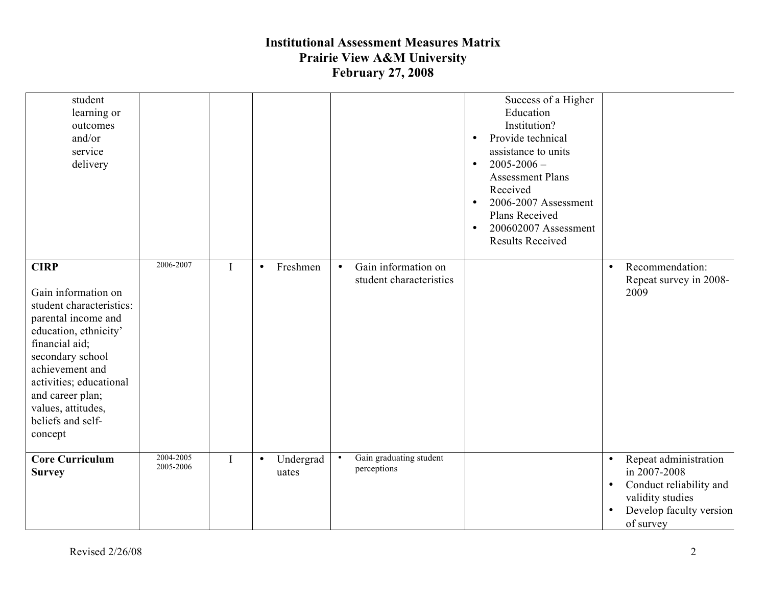| student<br>learning or<br>outcomes<br>and/or<br>service<br>delivery                                                                                                                                                                                                          |                        |             |                                 |                                                             | Success of a Higher<br>Education<br>Institution?<br>Provide technical<br>$\bullet$<br>assistance to units<br>$2005 - 2006$ -<br>$\bullet$<br><b>Assessment Plans</b><br>Received<br>2006-2007 Assessment<br>$\bullet$<br>Plans Received<br>200602007 Assessment<br>$\bullet$<br><b>Results Received</b> |                                                                                                                                                                     |
|------------------------------------------------------------------------------------------------------------------------------------------------------------------------------------------------------------------------------------------------------------------------------|------------------------|-------------|---------------------------------|-------------------------------------------------------------|---------------------------------------------------------------------------------------------------------------------------------------------------------------------------------------------------------------------------------------------------------------------------------------------------------|---------------------------------------------------------------------------------------------------------------------------------------------------------------------|
| <b>CIRP</b><br>Gain information on<br>student characteristics:<br>parental income and<br>education, ethnicity'<br>financial aid;<br>secondary school<br>achievement and<br>activities; educational<br>and career plan;<br>values, attitudes,<br>beliefs and self-<br>concept | 2006-2007              | $\mathbf I$ | Freshmen<br>$\bullet$           | Gain information on<br>$\bullet$<br>student characteristics |                                                                                                                                                                                                                                                                                                         | Recommendation:<br>$\bullet$<br>Repeat survey in 2008-<br>2009                                                                                                      |
| <b>Core Curriculum</b><br><b>Survey</b>                                                                                                                                                                                                                                      | 2004-2005<br>2005-2006 | $\mathbf I$ | Undergrad<br>$\bullet$<br>uates | Gain graduating student<br>$\bullet$<br>perceptions         |                                                                                                                                                                                                                                                                                                         | Repeat administration<br>$\bullet$<br>in 2007-2008<br>Conduct reliability and<br>$\bullet$<br>validity studies<br>Develop faculty version<br>$\bullet$<br>of survey |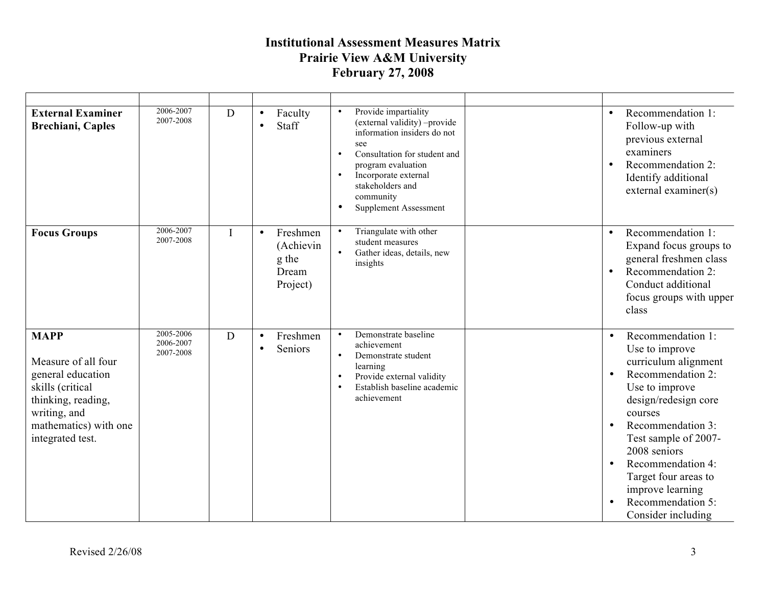| <b>External Examiner</b><br>Brechiani, Caples                                                                                                                  | 2006-2007<br>2007-2008              | D        | Faculty<br>$\bullet$<br>Staff<br>$\bullet$                       | Provide impartiality<br>$\bullet$<br>(external validity) -provide<br>information insiders do not<br>see<br>Consultation for student and<br>$\bullet$<br>program evaluation<br>Incorporate external<br>$\bullet$<br>stakeholders and<br>community<br><b>Supplement Assessment</b><br>$\bullet$ | $\bullet$<br>Follow-up with<br>examiners<br>$\bullet$                       | Recommendation 1:<br>previous external<br>Recommendation 2:<br>Identify additional<br>external examiner(s)                                                                                                                                                                          |
|----------------------------------------------------------------------------------------------------------------------------------------------------------------|-------------------------------------|----------|------------------------------------------------------------------|-----------------------------------------------------------------------------------------------------------------------------------------------------------------------------------------------------------------------------------------------------------------------------------------------|-----------------------------------------------------------------------------|-------------------------------------------------------------------------------------------------------------------------------------------------------------------------------------------------------------------------------------------------------------------------------------|
| <b>Focus Groups</b>                                                                                                                                            | 2006-2007<br>2007-2008              | $\bf{I}$ | Freshmen<br>$\bullet$<br>(Achievin<br>g the<br>Dream<br>Project) | Triangulate with other<br>$\bullet$<br>student measures<br>Gather ideas, details, new<br>$\bullet$<br>insights                                                                                                                                                                                | $\bullet$<br>$\bullet$<br>class                                             | Recommendation 1:<br>Expand focus groups to<br>general freshmen class<br>Recommendation 2:<br>Conduct additional<br>focus groups with upper                                                                                                                                         |
| <b>MAPP</b><br>Measure of all four<br>general education<br>skills (critical<br>thinking, reading,<br>writing, and<br>mathematics) with one<br>integrated test. | 2005-2006<br>2006-2007<br>2007-2008 | D        | Freshmen<br>$\bullet$<br>Seniors<br>$\bullet$                    | Demonstrate baseline<br>$\bullet$<br>achievement<br>Demonstrate student<br>$\bullet$<br>learning<br>Provide external validity<br>Establish baseline academic<br>$\bullet$<br>achievement                                                                                                      | $\bullet$<br>$\bullet$<br>courses<br>2008 seniors<br>$\bullet$<br>$\bullet$ | Recommendation 1:<br>Use to improve<br>curriculum alignment<br>Recommendation 2:<br>Use to improve<br>design/redesign core<br>Recommendation 3:<br>Test sample of 2007-<br>Recommendation 4:<br>Target four areas to<br>improve learning<br>Recommendation 5:<br>Consider including |